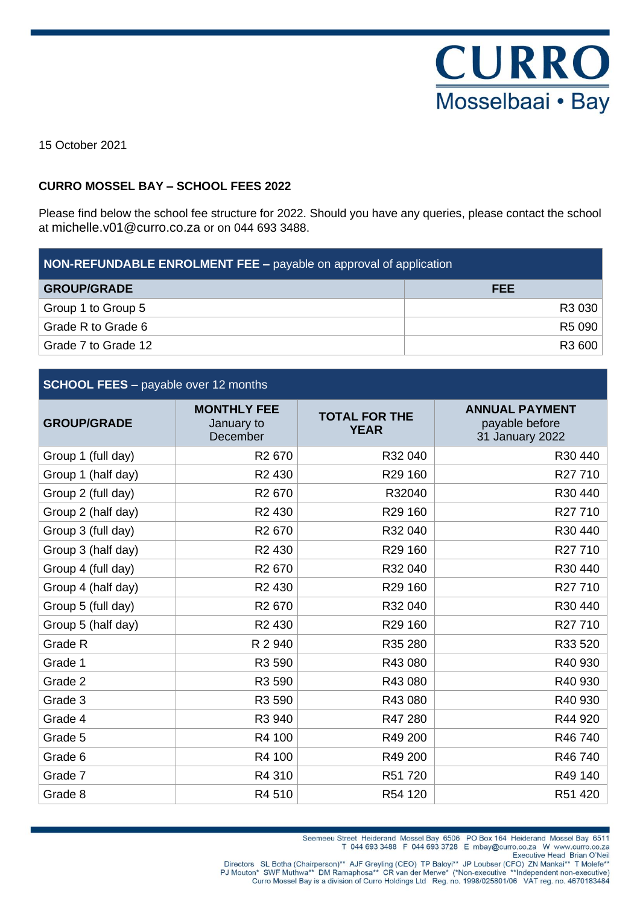

15 October 2021

#### **CURRO MOSSEL BAY – SCHOOL FEES 2022**

Please find below the school fee structure for 2022. Should you have any queries, please contact the school at michelle.v01@curro.co.za or on 044 693 3488.

| <b>NON-REFUNDABLE ENROLMENT FEE – payable on approval of application</b> |            |  |
|--------------------------------------------------------------------------|------------|--|
| <b>GROUP/GRADE</b>                                                       | <b>FEE</b> |  |
| Group 1 to Group 5                                                       | R3 030     |  |
| Grade R to Grade 6                                                       | R5 090     |  |
| Grade 7 to Grade 12                                                      | R3 600     |  |

#### **SCHOOL FEES –** payable over 12 months

| <b>GROUP/GRADE</b> | <b>MONTHLY FEE</b><br>January to<br>December | <b>TOTAL FOR THE</b><br><b>YEAR</b> | <b>ANNUAL PAYMENT</b><br>payable before<br>31 January 2022 |
|--------------------|----------------------------------------------|-------------------------------------|------------------------------------------------------------|
| Group 1 (full day) | R <sub>2</sub> 670                           | R32 040                             | R30 440                                                    |
| Group 1 (half day) | R <sub>2</sub> 430                           | R29 160                             | R27710                                                     |
| Group 2 (full day) | R <sub>2</sub> 670                           | R32040                              | R30 440                                                    |
| Group 2 (half day) | R <sub>2</sub> 430                           | R29 160                             | R27710                                                     |
| Group 3 (full day) | R <sub>2</sub> 670                           | R32 040                             | R30 440                                                    |
| Group 3 (half day) | R <sub>2</sub> 430                           | R29 160                             | R27 710                                                    |
| Group 4 (full day) | R <sub>2</sub> 670                           | R32 040                             | R30 440                                                    |
| Group 4 (half day) | R <sub>2</sub> 430                           | R29 160                             | R27 710                                                    |
| Group 5 (full day) | R <sub>2</sub> 670                           | R32 040                             | R30 440                                                    |
| Group 5 (half day) | R <sub>2</sub> 430                           | R29 160                             | R27710                                                     |
| Grade R            | R 2 940                                      | R35 280                             | R33 520                                                    |
| Grade 1            | R3 590                                       | R43 080                             | R40 930                                                    |
| Grade 2            | R3 590                                       | R43 080                             | R40 930                                                    |
| Grade 3            | R3 590                                       | R43 080                             | R40 930                                                    |
| Grade 4            | R3 940                                       | R47 280                             | R44 920                                                    |
| Grade 5            | R4 100                                       | R49 200                             | R46 740                                                    |
| Grade 6            | R4 100                                       | R49 200                             | R46 740                                                    |
| Grade 7            | R4 310                                       | R51 720                             | R49 140                                                    |
| Grade 8            | R4 510                                       | R54 120                             | R51 420                                                    |

Curro Mossel Bay is a division of Curro Holdings Ltd Reg. no. 1998/025801/06 VAT reg. no. 4670183484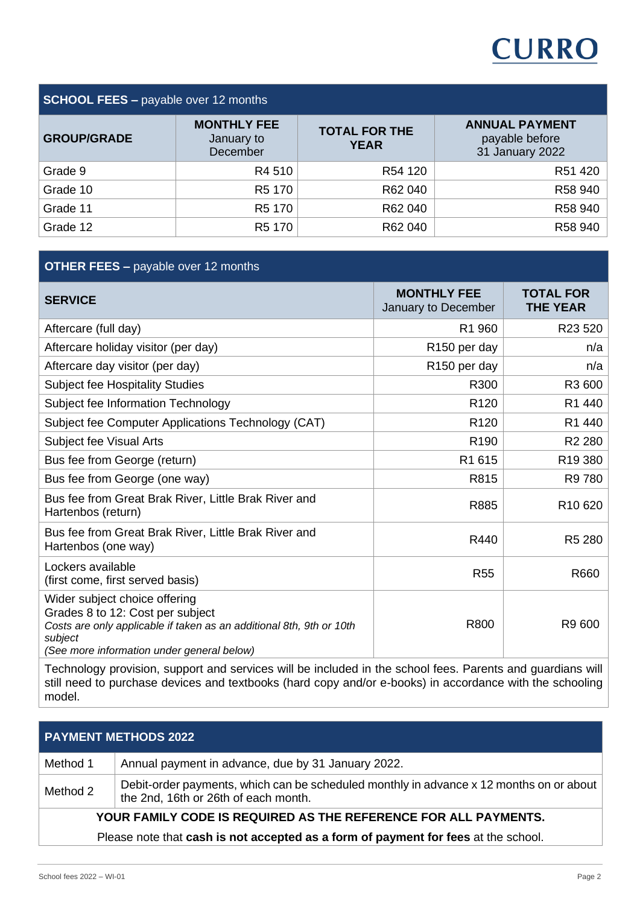# **CURRO**

## **SCHOOL FEES –** payable over 12 months

| <b>GROUP/GRADE</b> | <b>MONTHLY FEE</b><br>January to<br>December | <b>TOTAL FOR THE</b><br><b>YEAR</b> | <b>ANNUAL PAYMENT</b><br>payable before<br>31 January 2022 |
|--------------------|----------------------------------------------|-------------------------------------|------------------------------------------------------------|
| Grade 9            | R4 510                                       | R54 120                             | R51 420                                                    |
| Grade 10           | R <sub>5</sub> 170                           | R62 040                             | R58 940                                                    |
| Grade 11           | R <sub>5</sub> 170                           | R62 040                             | R58 940                                                    |
| Grade 12           | R5 170                                       | R62 040                             | R58 940                                                    |

### **OTHER FEES –** payable over 12 months

| <b>SERVICE</b>                                                                                                                                                                                     | <b>MONTHLY FEE</b><br>January to December | <b>TOTAL FOR</b><br><b>THE YEAR</b> |
|----------------------------------------------------------------------------------------------------------------------------------------------------------------------------------------------------|-------------------------------------------|-------------------------------------|
| Aftercare (full day)                                                                                                                                                                               | R1 960                                    | R23 520                             |
| Aftercare holiday visitor (per day)                                                                                                                                                                | R <sub>150</sub> per day                  | n/a                                 |
| Aftercare day visitor (per day)                                                                                                                                                                    | R <sub>150</sub> per day                  | n/a                                 |
| <b>Subject fee Hospitality Studies</b>                                                                                                                                                             | R300                                      | R3 600                              |
| Subject fee Information Technology                                                                                                                                                                 | R <sub>120</sub>                          | R1 440                              |
| Subject fee Computer Applications Technology (CAT)                                                                                                                                                 | R <sub>120</sub>                          | R1 440                              |
| Subject fee Visual Arts                                                                                                                                                                            | R <sub>190</sub>                          | R <sub>2</sub> 280                  |
| Bus fee from George (return)                                                                                                                                                                       | R1 615                                    | R <sub>19</sub> 380                 |
| Bus fee from George (one way)                                                                                                                                                                      | R815                                      | R9 780                              |
| Bus fee from Great Brak River, Little Brak River and<br>Hartenbos (return)                                                                                                                         | R885                                      | R <sub>10</sub> 620                 |
| Bus fee from Great Brak River, Little Brak River and<br>Hartenbos (one way)                                                                                                                        | R440                                      | R <sub>5</sub> 280                  |
| Lockers available<br>(first come, first served basis)                                                                                                                                              | <b>R55</b>                                | R660                                |
| Wider subject choice offering<br>Grades 8 to 12: Cost per subject<br>Costs are only applicable if taken as an additional 8th, 9th or 10th<br>subject<br>(See more information under general below) | R800                                      | R9 600                              |

Technology provision, support and services will be included in the school fees. Parents and guardians will still need to purchase devices and textbooks (hard copy and/or e-books) in accordance with the schooling model.

|                                                                                    | <b>PAYMENT METHODS 2022</b>                                                                                                     |  |
|------------------------------------------------------------------------------------|---------------------------------------------------------------------------------------------------------------------------------|--|
| Method 1                                                                           | Annual payment in advance, due by 31 January 2022.                                                                              |  |
| Method 2                                                                           | Debit-order payments, which can be scheduled monthly in advance x 12 months on or about<br>the 2nd, 16th or 26th of each month. |  |
| YOUR FAMILY CODE IS REQUIRED AS THE REFERENCE FOR ALL PAYMENTS.                    |                                                                                                                                 |  |
| Please note that cash is not accepted as a form of payment for fees at the school. |                                                                                                                                 |  |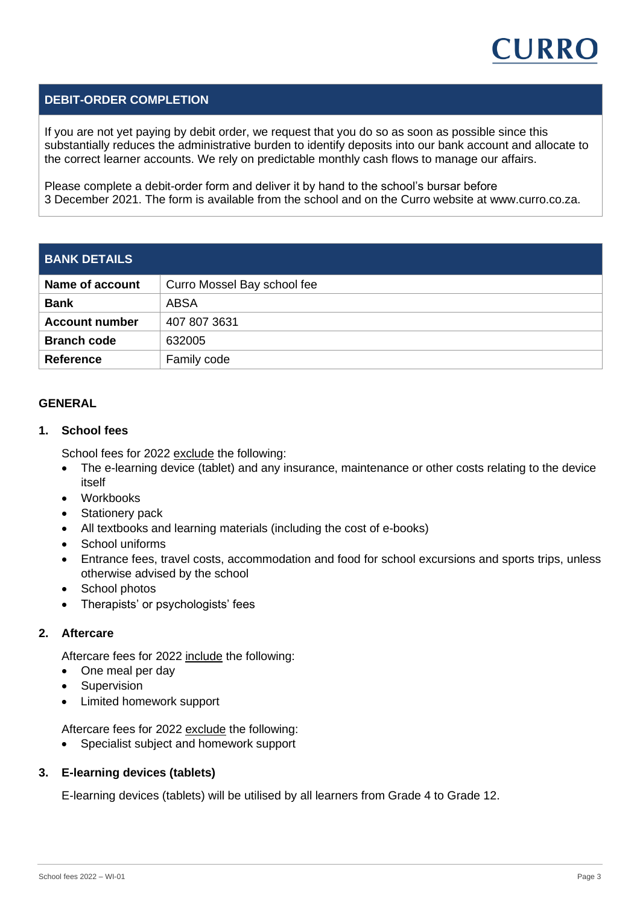

#### **DEBIT-ORDER COMPLETION**

If you are not yet paying by debit order, we request that you do so as soon as possible since this substantially reduces the administrative burden to identify deposits into our bank account and allocate to the correct learner accounts. We rely on predictable monthly cash flows to manage our affairs.

Please complete a debit-order form and deliver it by hand to the school's bursar before 3 December 2021. The form is available from the school and on the Curro website at www.curro.co.za.

| <b>BANK DETAILS</b>   |                             |  |
|-----------------------|-----------------------------|--|
| Name of account       | Curro Mossel Bay school fee |  |
| <b>Bank</b>           | ABSA                        |  |
| <b>Account number</b> | 407 807 3631                |  |
| <b>Branch code</b>    | 632005                      |  |
| <b>Reference</b>      | Family code                 |  |

#### **GENERAL**

#### **1. School fees**

School fees for 2022 exclude the following:

- The e-learning device (tablet) and any insurance, maintenance or other costs relating to the device itself
- Workbooks
- Stationery pack
- All textbooks and learning materials (including the cost of e-books)
- School uniforms
- Entrance fees, travel costs, accommodation and food for school excursions and sports trips, unless otherwise advised by the school
- School photos
- Therapists' or psychologists' fees

#### **2. Aftercare**

Aftercare fees for 2022 include the following:

- One meal per day
- **Supervision**
- Limited homework support

Aftercare fees for 2022 exclude the following:

• Specialist subject and homework support

#### **3. E-learning devices (tablets)**

E-learning devices (tablets) will be utilised by all learners from Grade 4 to Grade 12.